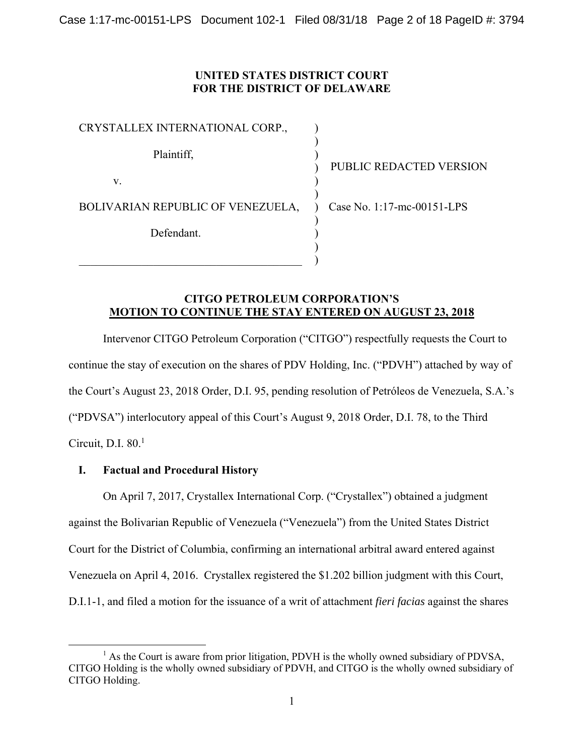Case 1:17-mc-00151-LPS Document 102-1 Filed 08/31/18 Page 2 of 18 PageID #: 3794

## **UNITED STATES DISTRICT COURT FOR THE DISTRICT OF DELAWARE**

| CRYSTALLEX INTERNATIONAL CORP.,   |    |
|-----------------------------------|----|
| Plaintiff,                        |    |
| V.                                |    |
| BOLIVARIAN REPUBLIC OF VENEZUELA, | ير |
| Defendant.                        |    |
|                                   |    |

UBLIC REDACTED VERSION

ase No. 1:17-mc-00151-LPS

## **CITGO PETROLEUM CORPORATION'S MOTION TO CONTINUE THE STAY ENTERED ON AUGUST 23, 2018**

)

Intervenor CITGO Petroleum Corporation ("CITGO") respectfully requests the Court to continue the stay of execution on the shares of PDV Holding, Inc. ("PDVH") attached by way of the Court's August 23, 2018 Order, D.I. 95, pending resolution of Petróleos de Venezuela, S.A.'s ("PDVSA") interlocutory appeal of this Court's August 9, 2018 Order, D.I. 78, to the Third Circuit, D.I.  $80<sup>1</sup>$ 

## **I. Factual and Procedural History**

On April 7, 2017, Crystallex International Corp. ("Crystallex") obtained a judgment against the Bolivarian Republic of Venezuela ("Venezuela") from the United States District Court for the District of Columbia, confirming an international arbitral award entered against Venezuela on April 4, 2016. Crystallex registered the \$1.202 billion judgment with this Court, D.I.1-1, and filed a motion for the issuance of a writ of attachment *fieri facias* against the shares

<sup>&</sup>lt;sup>1</sup> As the Court is aware from prior litigation, PDVH is the wholly owned subsidiary of PDVSA, CITGO Holding is the wholly owned subsidiary of PDVH, and CITGO is the wholly owned subsidiary of CITGO Holding.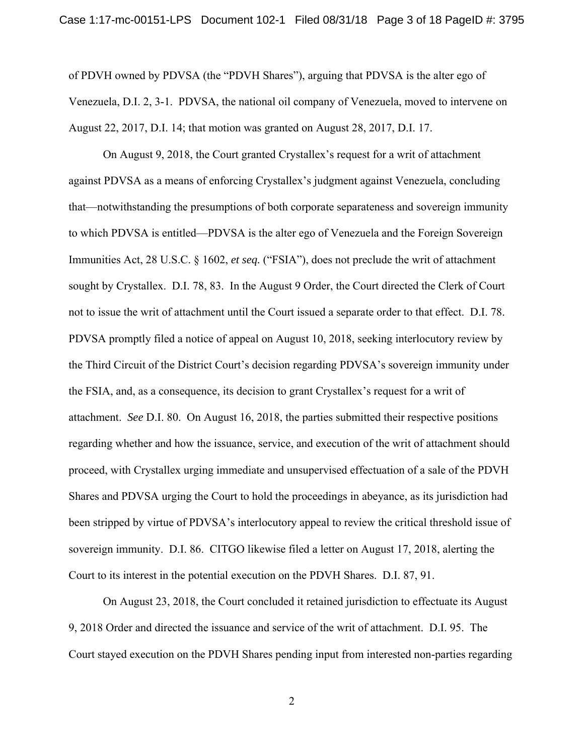of PDVH owned by PDVSA (the "PDVH Shares"), arguing that PDVSA is the alter ego of Venezuela, D.I. 2, 3-1. PDVSA, the national oil company of Venezuela, moved to intervene on August 22, 2017, D.I. 14; that motion was granted on August 28, 2017, D.I. 17.

 On August 9, 2018, the Court granted Crystallex's request for a writ of attachment against PDVSA as a means of enforcing Crystallex's judgment against Venezuela, concluding that—notwithstanding the presumptions of both corporate separateness and sovereign immunity to which PDVSA is entitled—PDVSA is the alter ego of Venezuela and the Foreign Sovereign Immunities Act, 28 U.S.C. § 1602, *et seq.* ("FSIA"), does not preclude the writ of attachment sought by Crystallex. D.I. 78, 83. In the August 9 Order, the Court directed the Clerk of Court not to issue the writ of attachment until the Court issued a separate order to that effect. D.I. 78. PDVSA promptly filed a notice of appeal on August 10, 2018, seeking interlocutory review by the Third Circuit of the District Court's decision regarding PDVSA's sovereign immunity under the FSIA, and, as a consequence, its decision to grant Crystallex's request for a writ of attachment. *See* D.I. 80. On August 16, 2018, the parties submitted their respective positions regarding whether and how the issuance, service, and execution of the writ of attachment should proceed, with Crystallex urging immediate and unsupervised effectuation of a sale of the PDVH Shares and PDVSA urging the Court to hold the proceedings in abeyance, as its jurisdiction had been stripped by virtue of PDVSA's interlocutory appeal to review the critical threshold issue of sovereign immunity. D.I. 86. CITGO likewise filed a letter on August 17, 2018, alerting the Court to its interest in the potential execution on the PDVH Shares. D.I. 87, 91.

 On August 23, 2018, the Court concluded it retained jurisdiction to effectuate its August 9, 2018 Order and directed the issuance and service of the writ of attachment. D.I. 95. The Court stayed execution on the PDVH Shares pending input from interested non-parties regarding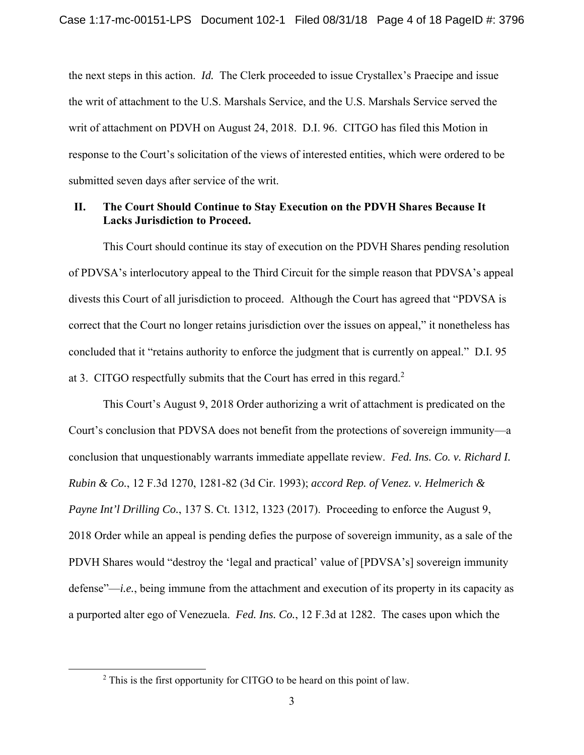the next steps in this action. *Id.* The Clerk proceeded to issue Crystallex's Praecipe and issue the writ of attachment to the U.S. Marshals Service, and the U.S. Marshals Service served the writ of attachment on PDVH on August 24, 2018. D.I. 96. CITGO has filed this Motion in response to the Court's solicitation of the views of interested entities, which were ordered to be submitted seven days after service of the writ.

## **II. The Court Should Continue to Stay Execution on the PDVH Shares Because It Lacks Jurisdiction to Proceed.**

 This Court should continue its stay of execution on the PDVH Shares pending resolution of PDVSA's interlocutory appeal to the Third Circuit for the simple reason that PDVSA's appeal divests this Court of all jurisdiction to proceed. Although the Court has agreed that "PDVSA is correct that the Court no longer retains jurisdiction over the issues on appeal," it nonetheless has concluded that it "retains authority to enforce the judgment that is currently on appeal." D.I. 95 at 3. CITGO respectfully submits that the Court has erred in this regard. $2$ 

 This Court's August 9, 2018 Order authorizing a writ of attachment is predicated on the Court's conclusion that PDVSA does not benefit from the protections of sovereign immunity—a conclusion that unquestionably warrants immediate appellate review. *Fed. Ins. Co. v. Richard I. Rubin & Co.*, 12 F.3d 1270, 1281-82 (3d Cir. 1993); *accord Rep. of Venez. v. Helmerich & Payne Int'l Drilling Co.*, 137 S. Ct. 1312, 1323 (2017). Proceeding to enforce the August 9, 2018 Order while an appeal is pending defies the purpose of sovereign immunity, as a sale of the PDVH Shares would "destroy the 'legal and practical' value of [PDVSA's] sovereign immunity defense"—*i.e.*, being immune from the attachment and execution of its property in its capacity as a purported alter ego of Venezuela. *Fed. Ins. Co.*, 12 F.3d at 1282. The cases upon which the

 $\overline{\phantom{a}2}$  $2$  This is the first opportunity for CITGO to be heard on this point of law.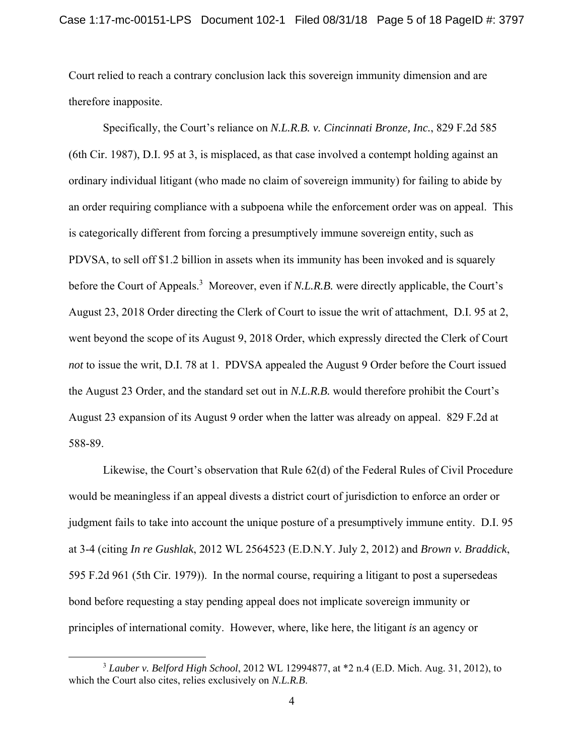Court relied to reach a contrary conclusion lack this sovereign immunity dimension and are therefore inapposite.

Specifically, the Court's reliance on *N.L.R.B. v. Cincinnati Bronze, Inc.*, 829 F.2d 585 (6th Cir. 1987), D.I. 95 at 3, is misplaced, as that case involved a contempt holding against an ordinary individual litigant (who made no claim of sovereign immunity) for failing to abide by an order requiring compliance with a subpoena while the enforcement order was on appeal. This is categorically different from forcing a presumptively immune sovereign entity, such as PDVSA, to sell off \$1.2 billion in assets when its immunity has been invoked and is squarely before the Court of Appeals.<sup>3</sup> Moreover, even if *N.L.R.B.* were directly applicable, the Court's August 23, 2018 Order directing the Clerk of Court to issue the writ of attachment, D.I. 95 at 2, went beyond the scope of its August 9, 2018 Order, which expressly directed the Clerk of Court *not* to issue the writ, D.I. 78 at 1. PDVSA appealed the August 9 Order before the Court issued the August 23 Order, and the standard set out in *N.L.R.B.* would therefore prohibit the Court's August 23 expansion of its August 9 order when the latter was already on appeal. 829 F.2d at 588-89.

Likewise, the Court's observation that Rule 62(d) of the Federal Rules of Civil Procedure would be meaningless if an appeal divests a district court of jurisdiction to enforce an order or judgment fails to take into account the unique posture of a presumptively immune entity. D.I. 95 at 3-4 (citing *In re Gushlak*, 2012 WL 2564523 (E.D.N.Y. July 2, 2012) and *Brown v. Braddick*, 595 F.2d 961 (5th Cir. 1979)). In the normal course, requiring a litigant to post a supersedeas bond before requesting a stay pending appeal does not implicate sovereign immunity or principles of international comity. However, where, like here, the litigant *is* an agency or

 <sup>3</sup> *Lauber v. Belford High School*, 2012 WL 12994877, at \*2 n.4 (E.D. Mich. Aug. 31, 2012), to which the Court also cites, relies exclusively on *N.L.R.B*.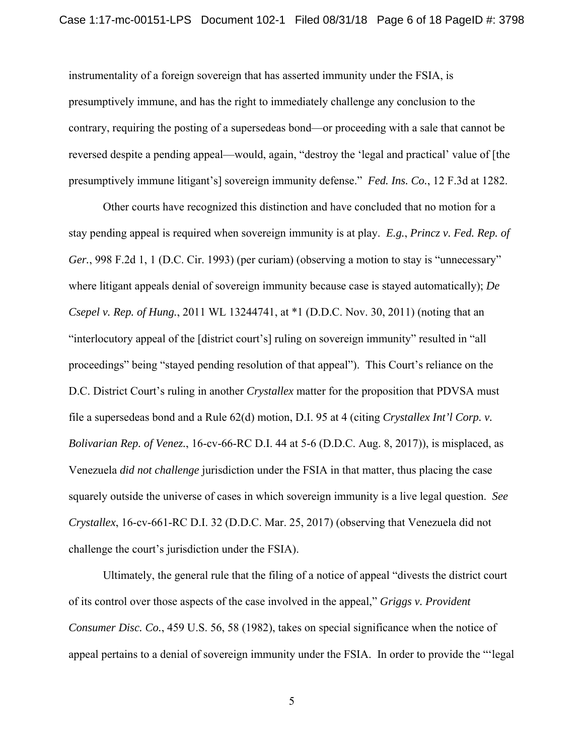instrumentality of a foreign sovereign that has asserted immunity under the FSIA, is presumptively immune, and has the right to immediately challenge any conclusion to the contrary, requiring the posting of a supersedeas bond—or proceeding with a sale that cannot be reversed despite a pending appeal—would, again, "destroy the 'legal and practical' value of [the presumptively immune litigant's] sovereign immunity defense." *Fed. Ins. Co.*, 12 F.3d at 1282.

Other courts have recognized this distinction and have concluded that no motion for a stay pending appeal is required when sovereign immunity is at play. *E.g.*, *Princz v. Fed. Rep. of Ger.*, 998 F.2d 1, 1 (D.C. Cir. 1993) (per curiam) (observing a motion to stay is "unnecessary" where litigant appeals denial of sovereign immunity because case is stayed automatically); *De Csepel v. Rep. of Hung.*, 2011 WL 13244741, at \*1 (D.D.C. Nov. 30, 2011) (noting that an "interlocutory appeal of the [district court's] ruling on sovereign immunity" resulted in "all proceedings" being "stayed pending resolution of that appeal"). This Court's reliance on the D.C. District Court's ruling in another *Crystallex* matter for the proposition that PDVSA must file a supersedeas bond and a Rule 62(d) motion, D.I. 95 at 4 (citing *Crystallex Int'l Corp. v. Bolivarian Rep. of Venez.*, 16-cv-66-RC D.I. 44 at 5-6 (D.D.C. Aug. 8, 2017)), is misplaced, as Venezuela *did not challenge* jurisdiction under the FSIA in that matter, thus placing the case squarely outside the universe of cases in which sovereign immunity is a live legal question. *See Crystallex*, 16-cv-661-RC D.I. 32 (D.D.C. Mar. 25, 2017) (observing that Venezuela did not challenge the court's jurisdiction under the FSIA).

 Ultimately, the general rule that the filing of a notice of appeal "divests the district court of its control over those aspects of the case involved in the appeal," *Griggs v. Provident Consumer Disc. Co.*, 459 U.S. 56, 58 (1982), takes on special significance when the notice of appeal pertains to a denial of sovereign immunity under the FSIA. In order to provide the "'legal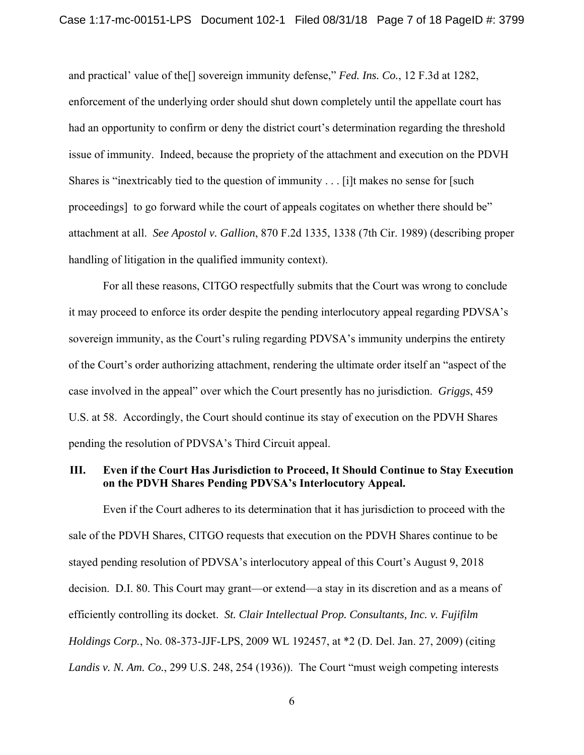and practical' value of the[] sovereign immunity defense," *Fed. Ins. Co.*, 12 F.3d at 1282, enforcement of the underlying order should shut down completely until the appellate court has had an opportunity to confirm or deny the district court's determination regarding the threshold issue of immunity. Indeed, because the propriety of the attachment and execution on the PDVH Shares is "inextricably tied to the question of immunity . . . [i]t makes no sense for [such proceedings] to go forward while the court of appeals cogitates on whether there should be" attachment at all. *See Apostol v. Gallion*, 870 F.2d 1335, 1338 (7th Cir. 1989) (describing proper handling of litigation in the qualified immunity context).

 For all these reasons, CITGO respectfully submits that the Court was wrong to conclude it may proceed to enforce its order despite the pending interlocutory appeal regarding PDVSA's sovereign immunity, as the Court's ruling regarding PDVSA's immunity underpins the entirety of the Court's order authorizing attachment, rendering the ultimate order itself an "aspect of the case involved in the appeal" over which the Court presently has no jurisdiction. *Griggs*, 459 U.S. at 58. Accordingly, the Court should continue its stay of execution on the PDVH Shares pending the resolution of PDVSA's Third Circuit appeal.

## **III. Even if the Court Has Jurisdiction to Proceed, It Should Continue to Stay Execution on the PDVH Shares Pending PDVSA's Interlocutory Appeal.**

 Even if the Court adheres to its determination that it has jurisdiction to proceed with the sale of the PDVH Shares, CITGO requests that execution on the PDVH Shares continue to be stayed pending resolution of PDVSA's interlocutory appeal of this Court's August 9, 2018 decision. D.I. 80. This Court may grant—or extend—a stay in its discretion and as a means of efficiently controlling its docket. *St. Clair Intellectual Prop. Consultants, Inc. v. Fujifilm Holdings Corp.*, No. 08-373-JJF-LPS, 2009 WL 192457, at \*2 (D. Del. Jan. 27, 2009) (citing *Landis v. N. Am. Co.*, 299 U.S. 248, 254 (1936)). The Court "must weigh competing interests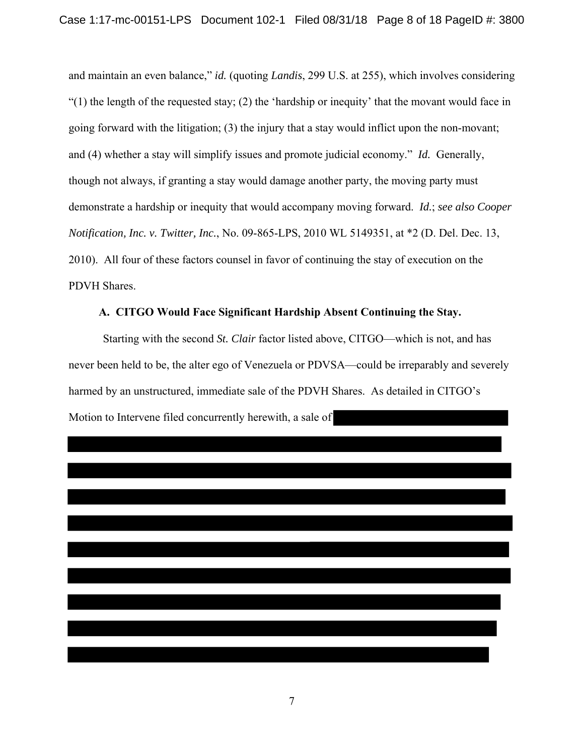and maintain an even balance," *id.* (quoting *Landis*, 299 U.S. at 255), which involves considering "(1) the length of the requested stay; (2) the 'hardship or inequity' that the movant would face in going forward with the litigation; (3) the injury that a stay would inflict upon the non-movant; and (4) whether a stay will simplify issues and promote judicial economy." *Id.* Generally, though not always, if granting a stay would damage another party, the moving party must demonstrate a hardship or inequity that would accompany moving forward. *Id.*; *see also Cooper Notification, Inc. v. Twitter, Inc.*, No. 09-865-LPS, 2010 WL 5149351, at \*2 (D. Del. Dec. 13, 2010). All four of these factors counsel in favor of continuing the stay of execution on the PDVH Shares.

#### **A. CITGO Would Face Significant Hardship Absent Continuing the Stay.**

Starting with the second *St. Clair* factor listed above, CITGO—which is not, and has never been held to be, the alter ego of Venezuela or PDVSA—could be irreparably and severely harmed by an unstructured, immediate sale of the PDVH Shares. As detailed in CITGO's Motion to Intervene filed concurrently herewith, a sale of

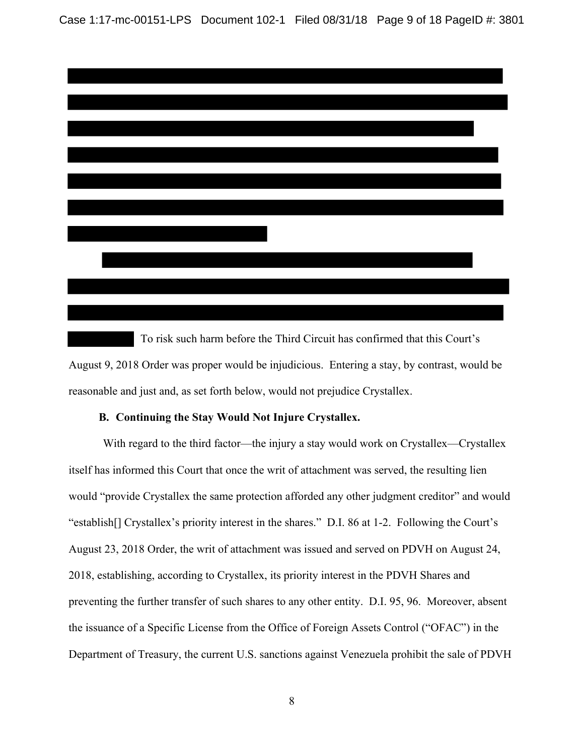Case 1:17-mc-00151-LPS Document 102-1 Filed 08/31/18 Page 9 of 18 PageID #: 3801



 To risk such harm before the Third Circuit has confirmed that this Court's August 9, 2018 Order was proper would be injudicious. Entering a stay, by contrast, would be reasonable and just and, as set forth below, would not prejudice Crystallex.

#### **B. Continuing the Stay Would Not Injure Crystallex.**

With regard to the third factor—the injury a stay would work on Crystallex—Crystallex itself has informed this Court that once the writ of attachment was served, the resulting lien would "provide Crystallex the same protection afforded any other judgment creditor" and would "establish[] Crystallex's priority interest in the shares." D.I. 86 at 1-2. Following the Court's August 23, 2018 Order, the writ of attachment was issued and served on PDVH on August 24, 2018, establishing, according to Crystallex, its priority interest in the PDVH Shares and preventing the further transfer of such shares to any other entity. D.I. 95, 96. Moreover, absent the issuance of a Specific License from the Office of Foreign Assets Control ("OFAC") in the Department of Treasury, the current U.S. sanctions against Venezuela prohibit the sale of PDVH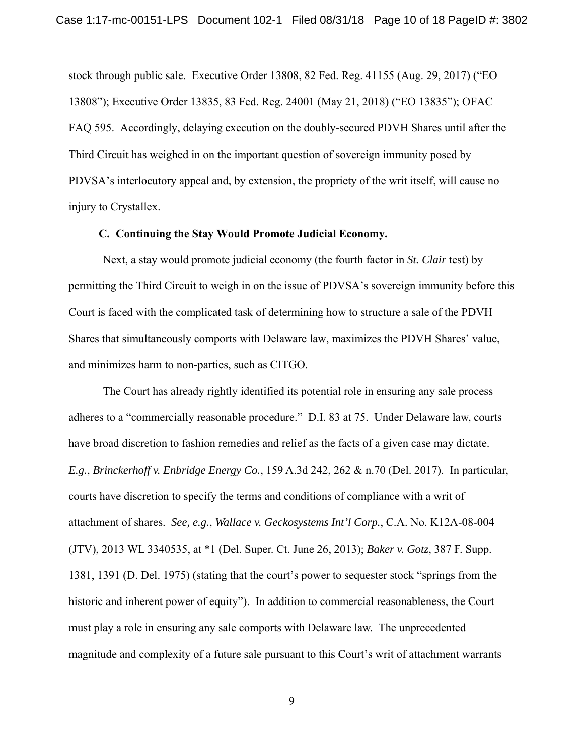stock through public sale. Executive Order 13808, 82 Fed. Reg. 41155 (Aug. 29, 2017) ("EO 13808"); Executive Order 13835, 83 Fed. Reg. 24001 (May 21, 2018) ("EO 13835"); OFAC FAQ 595. Accordingly, delaying execution on the doubly-secured PDVH Shares until after the Third Circuit has weighed in on the important question of sovereign immunity posed by PDVSA's interlocutory appeal and, by extension, the propriety of the writ itself, will cause no injury to Crystallex.

#### **C. Continuing the Stay Would Promote Judicial Economy.**

 Next, a stay would promote judicial economy (the fourth factor in *St. Clair* test) by permitting the Third Circuit to weigh in on the issue of PDVSA's sovereign immunity before this Court is faced with the complicated task of determining how to structure a sale of the PDVH Shares that simultaneously comports with Delaware law, maximizes the PDVH Shares' value, and minimizes harm to non-parties, such as CITGO.

The Court has already rightly identified its potential role in ensuring any sale process adheres to a "commercially reasonable procedure." D.I. 83 at 75. Under Delaware law, courts have broad discretion to fashion remedies and relief as the facts of a given case may dictate. *E.g.*, *Brinckerhoff v. Enbridge Energy Co.*, 159 A.3d 242, 262 & n.70 (Del. 2017). In particular, courts have discretion to specify the terms and conditions of compliance with a writ of attachment of shares. *See, e.g.*, *Wallace v. Geckosystems Int'l Corp.*, C.A. No. K12A-08-004 (JTV), 2013 WL 3340535, at \*1 (Del. Super. Ct. June 26, 2013); *Baker v. Gotz*, 387 F. Supp. 1381, 1391 (D. Del. 1975) (stating that the court's power to sequester stock "springs from the historic and inherent power of equity"). In addition to commercial reasonableness, the Court must play a role in ensuring any sale comports with Delaware law. The unprecedented magnitude and complexity of a future sale pursuant to this Court's writ of attachment warrants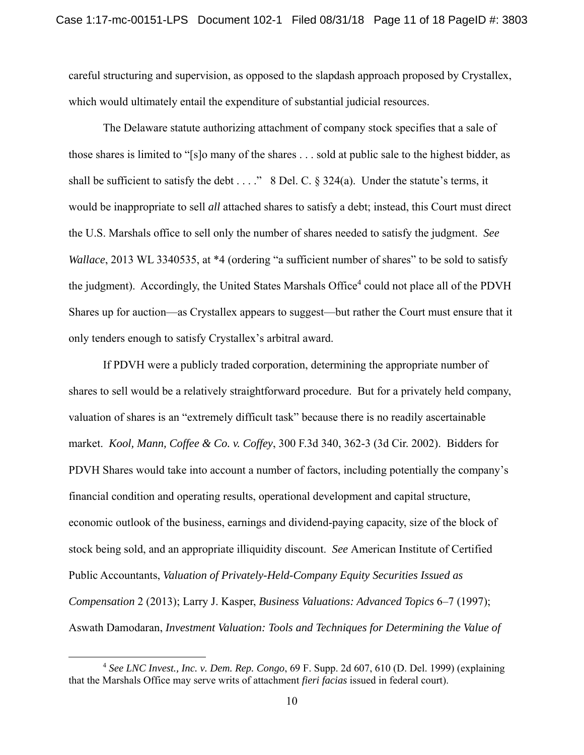careful structuring and supervision, as opposed to the slapdash approach proposed by Crystallex, which would ultimately entail the expenditure of substantial judicial resources.

The Delaware statute authorizing attachment of company stock specifies that a sale of those shares is limited to "[s]o many of the shares . . . sold at public sale to the highest bidder, as shall be sufficient to satisfy the debt  $\dots$ ." 8 Del. C. § 324(a). Under the statute's terms, it would be inappropriate to sell *all* attached shares to satisfy a debt; instead, this Court must direct the U.S. Marshals office to sell only the number of shares needed to satisfy the judgment. *See Wallace*, 2013 WL 3340535, at \*4 (ordering "a sufficient number of shares" to be sold to satisfy the judgment). Accordingly, the United States Marshals Office<sup>4</sup> could not place all of the PDVH Shares up for auction—as Crystallex appears to suggest—but rather the Court must ensure that it only tenders enough to satisfy Crystallex's arbitral award.

If PDVH were a publicly traded corporation, determining the appropriate number of shares to sell would be a relatively straightforward procedure. But for a privately held company, valuation of shares is an "extremely difficult task" because there is no readily ascertainable market. *Kool, Mann, Coffee & Co. v. Coffey*, 300 F.3d 340, 362-3 (3d Cir. 2002). Bidders for PDVH Shares would take into account a number of factors, including potentially the company's financial condition and operating results, operational development and capital structure, economic outlook of the business, earnings and dividend-paying capacity, size of the block of stock being sold, and an appropriate illiquidity discount. *See* American Institute of Certified Public Accountants, *Valuation of Privately-Held-Company Equity Securities Issued as Compensation* 2 (2013); Larry J. Kasper, *Business Valuations: Advanced Topics* 6–7 (1997); Aswath Damodaran, *Investment Valuation: Tools and Techniques for Determining the Value of* 

 <sup>4</sup> *See LNC Invest., Inc. v. Dem. Rep. Congo*, 69 F. Supp. 2d 607, 610 (D. Del. 1999) (explaining that the Marshals Office may serve writs of attachment *fieri facias* issued in federal court).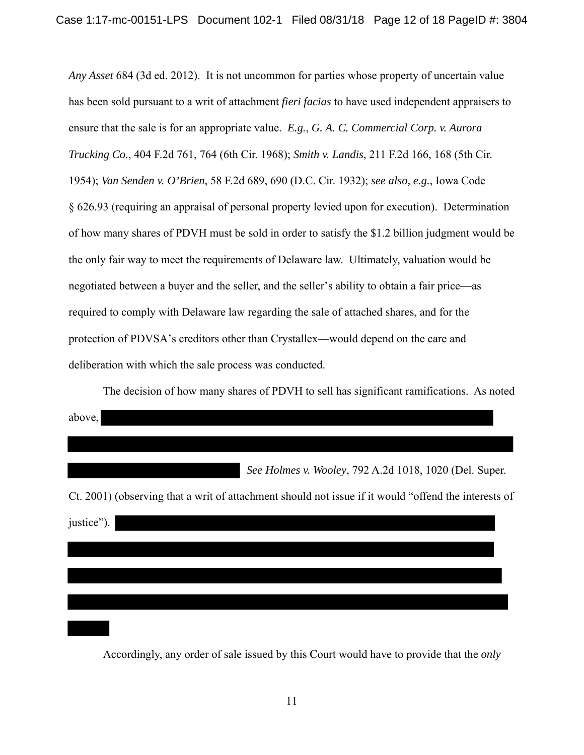*Any Asset* 684 (3d ed. 2012). It is not uncommon for parties whose property of uncertain value has been sold pursuant to a writ of attachment *fieri facias* to have used independent appraisers to ensure that the sale is for an appropriate value. *E.g.*, *G. A. C. Commercial Corp. v. Aurora Trucking Co.*, 404 F.2d 761, 764 (6th Cir. 1968); *Smith v. Landis*, 211 F.2d 166, 168 (5th Cir. 1954); *Van Senden v. O'Brien*, 58 F.2d 689, 690 (D.C. Cir. 1932); *see also, e.g.*, Iowa Code § 626.93 (requiring an appraisal of personal property levied upon for execution). Determination of how many shares of PDVH must be sold in order to satisfy the \$1.2 billion judgment would be the only fair way to meet the requirements of Delaware law. Ultimately, valuation would be negotiated between a buyer and the seller, and the seller's ability to obtain a fair price—as required to comply with Delaware law regarding the sale of attached shares, and for the protection of PDVSA's creditors other than Crystallex—would depend on the care and deliberation with which the sale process was conducted.

The decision of how many shares of PDVH to sell has significant ramifications. As noted above, *See Holmes v. Wooley*, 792 A.2d 1018, 1020 (Del. Super. Ct. 2001) (observing that a writ of attachment should not issue if it would "offend the interests of justice").

Accordingly, any order of sale issued by this Court would have to provide that the *only*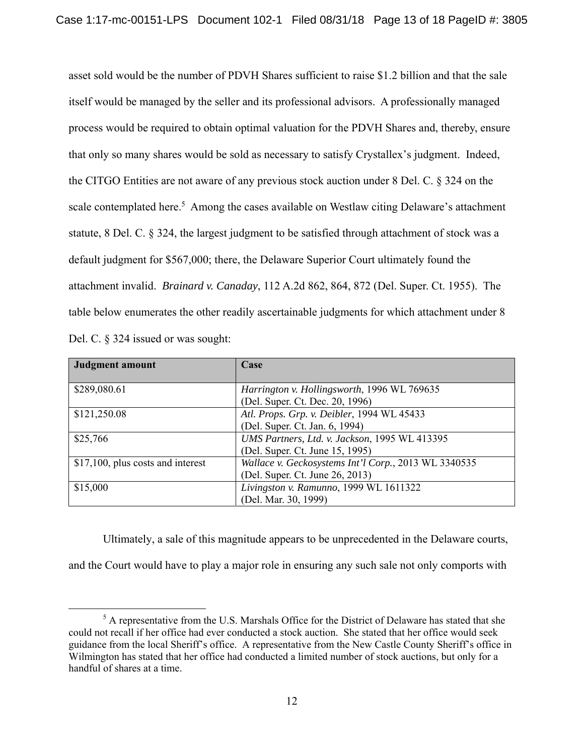asset sold would be the number of PDVH Shares sufficient to raise \$1.2 billion and that the sale itself would be managed by the seller and its professional advisors. A professionally managed process would be required to obtain optimal valuation for the PDVH Shares and, thereby, ensure that only so many shares would be sold as necessary to satisfy Crystallex's judgment. Indeed, the CITGO Entities are not aware of any previous stock auction under 8 Del. C. § 324 on the scale contemplated here.<sup>5</sup> Among the cases available on Westlaw citing Delaware's attachment statute, 8 Del. C. § 324, the largest judgment to be satisfied through attachment of stock was a default judgment for \$567,000; there, the Delaware Superior Court ultimately found the attachment invalid. *Brainard v. Canaday*, 112 A.2d 862, 864, 872 (Del. Super. Ct. 1955). The table below enumerates the other readily ascertainable judgments for which attachment under 8 Del. C. § 324 issued or was sought:

| <b>Judgment amount</b>            | Case                                                                                              |
|-----------------------------------|---------------------------------------------------------------------------------------------------|
| \$289,080.61                      | Harrington v. Hollingsworth, 1996 WL 769635<br>(Del. Super. Ct. Dec. 20, 1996)                    |
| \$121,250.08                      | Atl. Props. Grp. v. Deibler, 1994 WL 45433                                                        |
| \$25,766                          | (Del. Super. Ct. Jan. 6, 1994)<br>UMS Partners, Ltd. v. Jackson, 1995 WL 413395                   |
| \$17,100, plus costs and interest | (Del. Super. Ct. June 15, 1995)<br>Wallace v. Geckosystems Int'l Corp., 2013 WL 3340535           |
| \$15,000                          | (Del. Super. Ct. June 26, 2013)<br>Livingston v. Ramunno, 1999 WL 1611322<br>(Del. Mar. 30, 1999) |

 Ultimately, a sale of this magnitude appears to be unprecedented in the Delaware courts, and the Court would have to play a major role in ensuring any such sale not only comports with

 $rac{1}{5}$  $5$  A representative from the U.S. Marshals Office for the District of Delaware has stated that she could not recall if her office had ever conducted a stock auction. She stated that her office would seek guidance from the local Sheriff's office. A representative from the New Castle County Sheriff's office in Wilmington has stated that her office had conducted a limited number of stock auctions, but only for a handful of shares at a time.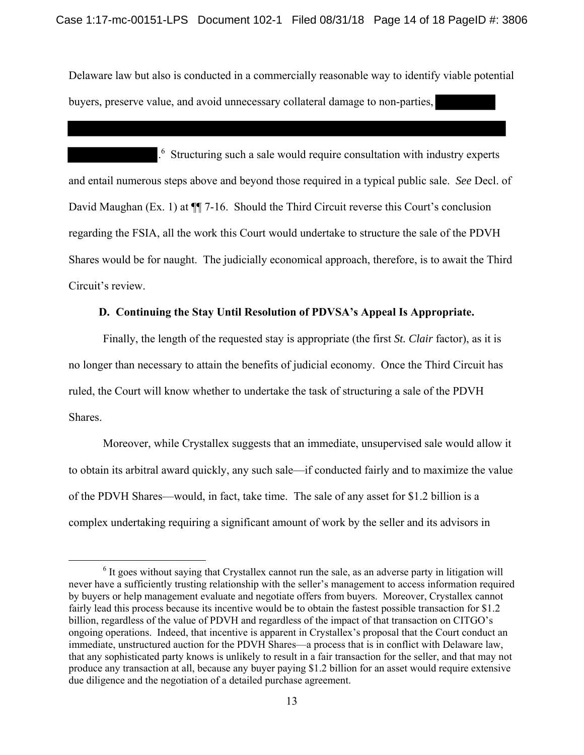Delaware law but also is conducted in a commercially reasonable way to identify viable potential buyers, preserve value, and avoid unnecessary collateral damage to non-parties,

. 6 Structuring such a sale would require consultation with industry experts and entail numerous steps above and beyond those required in a typical public sale. *See* Decl. of David Maughan (Ex. 1) at  $\P$  7-16. Should the Third Circuit reverse this Court's conclusion regarding the FSIA, all the work this Court would undertake to structure the sale of the PDVH Shares would be for naught. The judicially economical approach, therefore, is to await the Third Circuit's review.

#### **D. Continuing the Stay Until Resolution of PDVSA's Appeal Is Appropriate.**

 Finally, the length of the requested stay is appropriate (the first *St. Clair* factor), as it is no longer than necessary to attain the benefits of judicial economy. Once the Third Circuit has ruled, the Court will know whether to undertake the task of structuring a sale of the PDVH Shares.

Moreover, while Crystallex suggests that an immediate, unsupervised sale would allow it to obtain its arbitral award quickly, any such sale—if conducted fairly and to maximize the value of the PDVH Shares—would, in fact, take time. The sale of any asset for \$1.2 billion is a complex undertaking requiring a significant amount of work by the seller and its advisors in

 <sup>6</sup>  $<sup>6</sup>$  It goes without saying that Crystallex cannot run the sale, as an adverse party in litigation will</sup> never have a sufficiently trusting relationship with the seller's management to access information required by buyers or help management evaluate and negotiate offers from buyers. Moreover, Crystallex cannot fairly lead this process because its incentive would be to obtain the fastest possible transaction for \$1.2 billion, regardless of the value of PDVH and regardless of the impact of that transaction on CITGO's ongoing operations. Indeed, that incentive is apparent in Crystallex's proposal that the Court conduct an immediate, unstructured auction for the PDVH Shares—a process that is in conflict with Delaware law, that any sophisticated party knows is unlikely to result in a fair transaction for the seller, and that may not produce any transaction at all, because any buyer paying \$1.2 billion for an asset would require extensive due diligence and the negotiation of a detailed purchase agreement.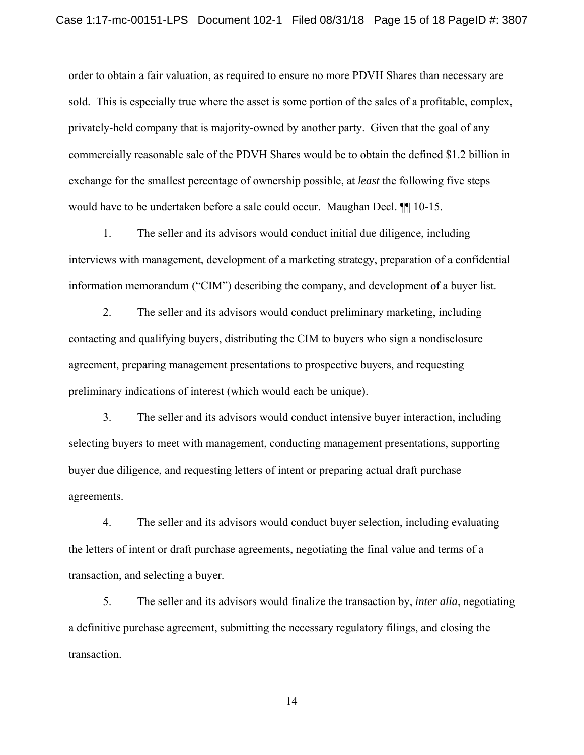order to obtain a fair valuation, as required to ensure no more PDVH Shares than necessary are sold. This is especially true where the asset is some portion of the sales of a profitable, complex, privately-held company that is majority-owned by another party. Given that the goal of any commercially reasonable sale of the PDVH Shares would be to obtain the defined \$1.2 billion in exchange for the smallest percentage of ownership possible, at *least* the following five steps would have to be undertaken before a sale could occur. Maughan Decl. ¶¶ 10-15.

1. The seller and its advisors would conduct initial due diligence, including interviews with management, development of a marketing strategy, preparation of a confidential information memorandum ("CIM") describing the company, and development of a buyer list.

2. The seller and its advisors would conduct preliminary marketing, including contacting and qualifying buyers, distributing the CIM to buyers who sign a nondisclosure agreement, preparing management presentations to prospective buyers, and requesting preliminary indications of interest (which would each be unique).

3. The seller and its advisors would conduct intensive buyer interaction, including selecting buyers to meet with management, conducting management presentations, supporting buyer due diligence, and requesting letters of intent or preparing actual draft purchase agreements.

4. The seller and its advisors would conduct buyer selection, including evaluating the letters of intent or draft purchase agreements, negotiating the final value and terms of a transaction, and selecting a buyer.

5. The seller and its advisors would finalize the transaction by, *inter alia*, negotiating a definitive purchase agreement, submitting the necessary regulatory filings, and closing the transaction.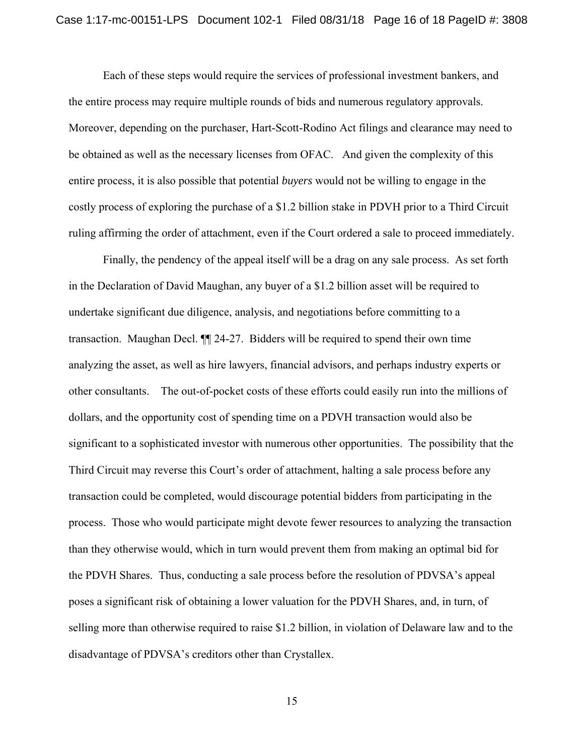Each of these steps would require the services of professional investment bankers, and the entire process may require multiple rounds of bids and numerous regulatory approvals. Moreover, depending on the purchaser, Hart-Scott-Rodino Act filings and clearance may need to be obtained as well as the necessary licenses from OFAC. And given the complexity of this entire process, it is also possible that potential *buyers* would not be willing to engage in the costly process of exploring the purchase of a \$1.2 billion stake in PDVH prior to a Third Circuit ruling affirming the order of attachment, even if the Court ordered a sale to proceed immediately.

Finally, the pendency of the appeal itself will be a drag on any sale process. As set forth in the Declaration of David Maughan, any buyer of a \$1.2 billion asset will be required to undertake significant due diligence, analysis, and negotiations before committing to a transaction. Maughan Decl. ¶¶ 24-27. Bidders will be required to spend their own time analyzing the asset, as well as hire lawyers, financial advisors, and perhaps industry experts or other consultants. The out-of-pocket costs of these efforts could easily run into the millions of dollars, and the opportunity cost of spending time on a PDVH transaction would also be significant to a sophisticated investor with numerous other opportunities. The possibility that the Third Circuit may reverse this Court's order of attachment, halting a sale process before any transaction could be completed, would discourage potential bidders from participating in the process. Those who would participate might devote fewer resources to analyzing the transaction than they otherwise would, which in turn would prevent them from making an optimal bid for the PDVH Shares. Thus, conducting a sale process before the resolution of PDVSA's appeal poses a significant risk of obtaining a lower valuation for the PDVH Shares, and, in turn, of selling more than otherwise required to raise \$1.2 billion, in violation of Delaware law and to the disadvantage of PDVSA's creditors other than Crystallex.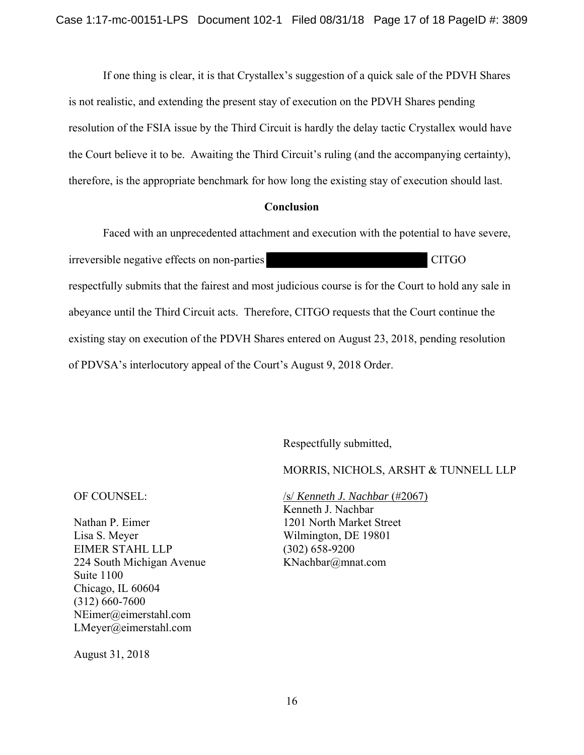If one thing is clear, it is that Crystallex's suggestion of a quick sale of the PDVH Shares is not realistic, and extending the present stay of execution on the PDVH Shares pending resolution of the FSIA issue by the Third Circuit is hardly the delay tactic Crystallex would have the Court believe it to be. Awaiting the Third Circuit's ruling (and the accompanying certainty), therefore, is the appropriate benchmark for how long the existing stay of execution should last.

#### **Conclusion**

 Faced with an unprecedented attachment and execution with the potential to have severe, irreversible negative effects on non-parties and the control of CITGO respectfully submits that the fairest and most judicious course is for the Court to hold any sale in abeyance until the Third Circuit acts. Therefore, CITGO requests that the Court continue the existing stay on execution of the PDVH Shares entered on August 23, 2018, pending resolution of PDVSA's interlocutory appeal of the Court's August 9, 2018 Order.

Respectfully submitted,

MORRIS, NICHOLS, ARSHT & TUNNELL LLP

OF COUNSEL:

Nathan P. Eimer Lisa S. Meyer EIMER STAHL LLP 224 South Michigan Avenue Suite 1100 Chicago, IL 60604 (312) 660-7600 NEimer@eimerstahl.com LMeyer@eimerstahl.com

/s/ *Kenneth J. Nachbar* (#2067) Kenneth J. Nachbar 1201 North Market Street Wilmington, DE 19801 (302) 658-9200 KNachbar@mnat.com

August 31, 2018